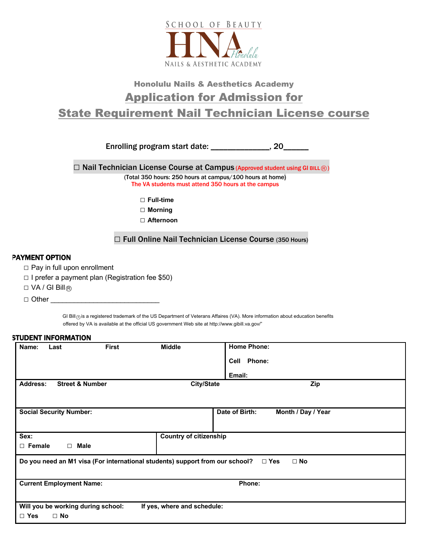

## Honolulu Nails & Aesthetics Academy Application for Admission for State Requirement Nail Technician License course

Enrolling program start date: \_\_\_\_\_\_\_\_\_\_\_\_\_\_, 20\_\_\_\_\_\_

□ Nail Technician License Course at Campus (Approved student using GI BILL<sup>®</sup>) (Total 350 hours: 250 hours at campus/100 hours at home)

The VA students must attend 350 hours at the campus

□ Full-time

 **□ Morning** 

 **□ Afternoon** 

□ Full Online Nail Technician License Course (350 Hours)

## PAYMENT OPTION

- □ Pay in full upon enrollment
- **□** I prefer a payment plan (Registration fee \$50)
- □ VA / GI Bill®

 **□** Other \_\_\_\_\_\_\_\_\_\_\_\_\_\_\_\_\_\_\_\_\_\_\_\_\_\_\_\_

GI Bill<sub>(</sub>a) is a registered trademark of the US Department of Veterans Affaires (VA). More information about education benefits offered by VA is available at the official US government Web site at http://www.gibill.va.gov/"

## STUDENT INFORMATION

| Name:                                                                                                   | Last                            | <b>First</b> | <b>Middle</b>                 | <b>Home Phone:</b>                   |  |  |
|---------------------------------------------------------------------------------------------------------|---------------------------------|--------------|-------------------------------|--------------------------------------|--|--|
|                                                                                                         |                                 |              |                               | Phone:<br>Cell                       |  |  |
|                                                                                                         |                                 |              |                               | Email:                               |  |  |
| <b>Address:</b>                                                                                         | <b>Street &amp; Number</b>      |              | <b>City/State</b>             | Zip                                  |  |  |
|                                                                                                         |                                 |              |                               |                                      |  |  |
|                                                                                                         | <b>Social Security Number:</b>  |              |                               | Date of Birth:<br>Month / Day / Year |  |  |
|                                                                                                         |                                 |              |                               |                                      |  |  |
|                                                                                                         |                                 |              |                               |                                      |  |  |
| Sex:                                                                                                    |                                 |              | <b>Country of citizenship</b> |                                      |  |  |
| $\Box$ Female                                                                                           | $\Box$ Male                     |              |                               |                                      |  |  |
| Do you need an M1 visa (For international students) support from our school?<br>$\Box$ No<br>$\Box$ Yes |                                 |              |                               |                                      |  |  |
|                                                                                                         |                                 |              |                               |                                      |  |  |
|                                                                                                         | <b>Current Employment Name:</b> |              |                               | Phone:                               |  |  |
|                                                                                                         |                                 |              |                               |                                      |  |  |
| Will you be working during school:<br>If yes, where and schedule:                                       |                                 |              |                               |                                      |  |  |
| $\Box$ Yes                                                                                              | $\Box$ No                       |              |                               |                                      |  |  |